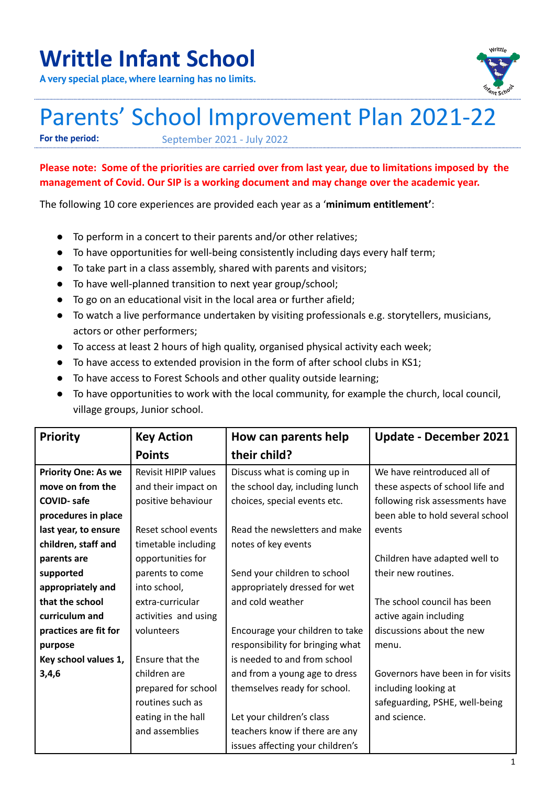## **Writtle Infant School**

**A very special place, where learning has no limits.**



## Parents' School Improvement Plan 2021-22

**For the period:** September 2021 - July 2022

## **Please note: Some of the priorities are carried over from last year, due to limitations imposed by the management of Covid. Our SIP is a working document and may change over the academic year.**

The following 10 core experiences are provided each year as a '**minimum entitlement'**:

- To perform in a concert to their parents and/or other relatives;
- To have opportunities for well-being consistently including days every half term;
- To take part in a class assembly, shared with parents and visitors;
- To have well-planned transition to next year group/school;
- To go on an educational visit in the local area or further afield;
- To watch a live performance undertaken by visiting professionals e.g. storytellers, musicians, actors or other performers;
- To access at least 2 hours of high quality, organised physical activity each week;
- To have access to extended provision in the form of after school clubs in KS1;
- To have access to Forest Schools and other quality outside learning;
- To have opportunities to work with the local community, for example the church, local council, village groups, Junior school.

| <b>Priority</b>            | <b>Key Action</b>           | How can parents help             | <b>Update - December 2021</b>     |
|----------------------------|-----------------------------|----------------------------------|-----------------------------------|
|                            | <b>Points</b>               | their child?                     |                                   |
| <b>Priority One: As we</b> | <b>Revisit HIPIP values</b> | Discuss what is coming up in     | We have reintroduced all of       |
| move on from the           | and their impact on         | the school day, including lunch  | these aspects of school life and  |
| <b>COVID-safe</b>          | positive behaviour          | choices, special events etc.     | following risk assessments have   |
| procedures in place        |                             |                                  | been able to hold several school  |
| last year, to ensure       | Reset school events         | Read the newsletters and make    | events                            |
| children, staff and        | timetable including         | notes of key events              |                                   |
| parents are                | opportunities for           |                                  | Children have adapted well to     |
| supported                  | parents to come             | Send your children to school     | their new routines.               |
| appropriately and          | into school,                | appropriately dressed for wet    |                                   |
| that the school            | extra-curricular            | and cold weather                 | The school council has been       |
| curriculum and             | activities and using        |                                  | active again including            |
| practices are fit for      | volunteers                  | Encourage your children to take  | discussions about the new         |
| purpose                    |                             | responsibility for bringing what | menu.                             |
| Key school values 1,       | Ensure that the             | is needed to and from school     |                                   |
| 3,4,6                      | children are                | and from a young age to dress    | Governors have been in for visits |
|                            | prepared for school         | themselves ready for school.     | including looking at              |
|                            | routines such as            |                                  | safeguarding, PSHE, well-being    |
|                            | eating in the hall          | Let your children's class        | and science.                      |
|                            | and assemblies              | teachers know if there are any   |                                   |
|                            |                             | issues affecting your children's |                                   |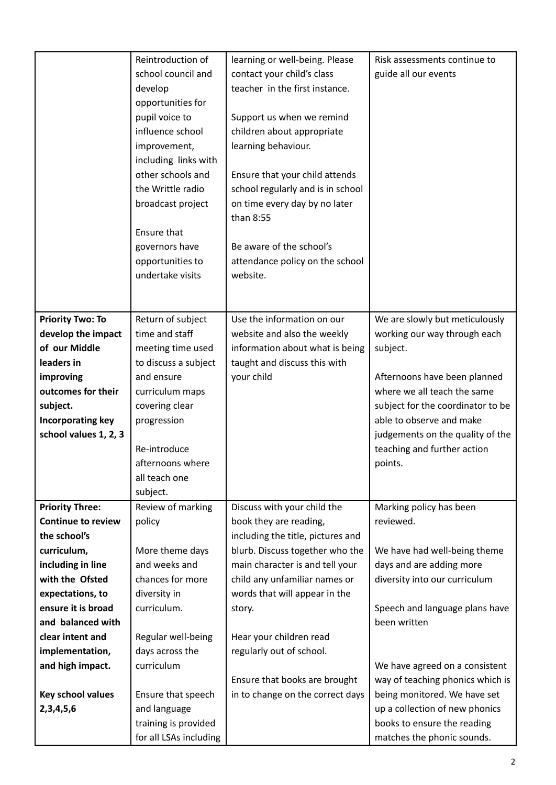|                           | Reintroduction of                    | learning or well-being. Please    | Risk assessments continue to                                  |
|---------------------------|--------------------------------------|-----------------------------------|---------------------------------------------------------------|
|                           | school council and                   | contact your child's class        | guide all our events                                          |
|                           | develop                              | teacher in the first instance.    |                                                               |
|                           | opportunities for                    |                                   |                                                               |
|                           | pupil voice to                       | Support us when we remind         |                                                               |
|                           | influence school                     | children about appropriate        |                                                               |
|                           | improvement,                         | learning behaviour.               |                                                               |
|                           | including links with                 |                                   |                                                               |
|                           | other schools and                    | Ensure that your child attends    |                                                               |
|                           | the Writtle radio                    | school regularly and is in school |                                                               |
|                           | broadcast project                    | on time every day by no later     |                                                               |
|                           |                                      | than 8:55                         |                                                               |
|                           | Ensure that                          |                                   |                                                               |
|                           | governors have                       | Be aware of the school's          |                                                               |
|                           | opportunities to                     | attendance policy on the school   |                                                               |
|                           | undertake visits                     | website.                          |                                                               |
|                           |                                      |                                   |                                                               |
| <b>Priority Two: To</b>   | Return of subject                    | Use the information on our        | We are slowly but meticulously                                |
| develop the impact        | time and staff                       | website and also the weekly       | working our way through each                                  |
| of our Middle             | meeting time used                    | information about what is being   | subject.                                                      |
| leaders in                | to discuss a subject                 | taught and discuss this with      |                                                               |
| improving                 | and ensure                           | your child                        | Afternoons have been planned                                  |
| outcomes for their        | curriculum maps                      |                                   | where we all teach the same                                   |
| subject.                  | covering clear                       |                                   | subject for the coordinator to be                             |
| Incorporating key         | progression                          |                                   | able to observe and make                                      |
| school values 1, 2, 3     |                                      |                                   | judgements on the quality of the                              |
|                           | Re-introduce                         |                                   | teaching and further action                                   |
|                           | afternoons where                     |                                   | points.                                                       |
|                           | all teach one                        |                                   |                                                               |
|                           | subject.                             |                                   |                                                               |
| <b>Priority Three:</b>    | Review of marking                    | Discuss with your child the       | Marking policy has been                                       |
| <b>Continue to review</b> | policy                               | book they are reading,            | reviewed.                                                     |
| the school's              |                                      | including the title, pictures and |                                                               |
| curriculum,               | More theme days                      | blurb. Discuss together who the   | We have had well-being theme                                  |
| including in line         | and weeks and                        | main character is and tell your   | days and are adding more                                      |
| with the Ofsted           | chances for more                     | child any unfamiliar names or     | diversity into our curriculum                                 |
| expectations, to          | diversity in                         | words that will appear in the     |                                                               |
| ensure it is broad        | curriculum.                          | story.                            | Speech and language plans have                                |
| and balanced with         |                                      |                                   | been written                                                  |
| clear intent and          | Regular well-being                   | Hear your children read           |                                                               |
| implementation,           | days across the                      | regularly out of school.          |                                                               |
| and high impact.          | curriculum                           |                                   | We have agreed on a consistent                                |
|                           |                                      | Ensure that books are brought     | way of teaching phonics which is                              |
| Key school values         | Ensure that speech                   | in to change on the correct days  | being monitored. We have set                                  |
| 2,3,4,5,6                 | and language<br>training is provided |                                   | up a collection of new phonics<br>books to ensure the reading |
|                           |                                      |                                   |                                                               |
|                           | for all LSAs including               |                                   | matches the phonic sounds.                                    |